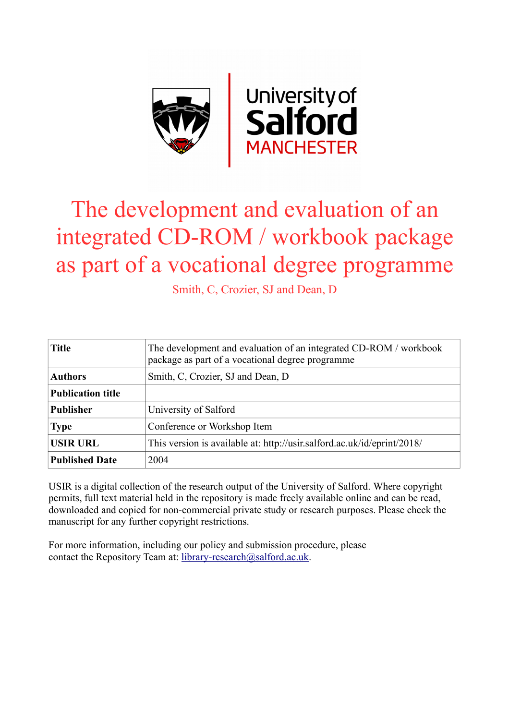

# The development and evaluation of an integrated CD-ROM / workbook package as part of a vocational degree programme

Smith, C, Crozier, SJ and Dean, D

| <b>Title</b>             | The development and evaluation of an integrated CD-ROM / workbook<br>package as part of a vocational degree programme |  |  |  |
|--------------------------|-----------------------------------------------------------------------------------------------------------------------|--|--|--|
| <b>Authors</b>           | Smith, C, Crozier, SJ and Dean, D                                                                                     |  |  |  |
| <b>Publication title</b> |                                                                                                                       |  |  |  |
| <b>Publisher</b>         | University of Salford                                                                                                 |  |  |  |
| <b>Type</b>              | Conference or Workshop Item                                                                                           |  |  |  |
| <b>USIR URL</b>          | This version is available at: http://usir.salford.ac.uk/id/eprint/2018/                                               |  |  |  |
| <b>Published Date</b>    | 2004                                                                                                                  |  |  |  |

USIR is a digital collection of the research output of the University of Salford. Where copyright permits, full text material held in the repository is made freely available online and can be read, downloaded and copied for non-commercial private study or research purposes. Please check the manuscript for any further copyright restrictions.

For more information, including our policy and submission procedure, please contact the Repository Team at: [library-research@salford.ac.uk.](mailto:library-research@salford.ac.uk)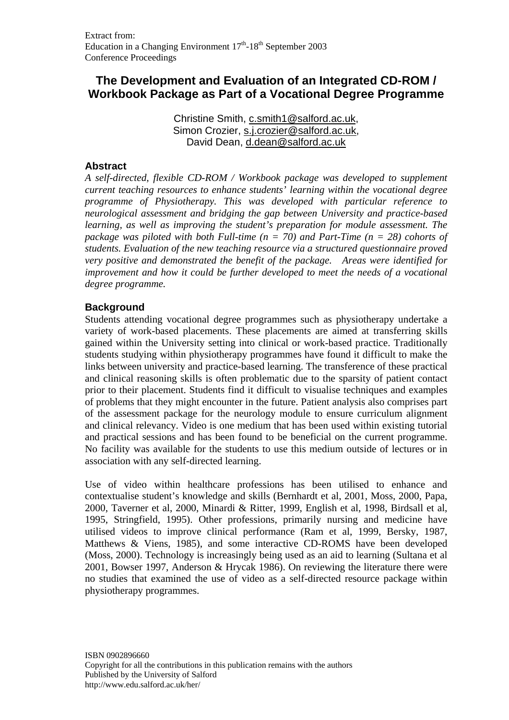# **The Development and Evaluation of an Integrated CD-ROM / Workbook Package as Part of a Vocational Degree Programme**

Christine Smith, c.smith1@salford.ac.uk, Simon Crozier, s.j.crozier@salford.ac.uk, David Dean, d.dean@salford.ac.uk

# **Abstract**

*A self-directed, flexible CD-ROM / Workbook package was developed to supplement current teaching resources to enhance students' learning within the vocational degree programme of Physiotherapy. This was developed with particular reference to neurological assessment and bridging the gap between University and practice-based learning, as well as improving the student's preparation for module assessment. The package was piloted with both Full-time (n = 70) and Part-Time (n = 28) cohorts of students. Evaluation of the new teaching resource via a structured questionnaire proved very positive and demonstrated the benefit of the package. Areas were identified for improvement and how it could be further developed to meet the needs of a vocational degree programme.* 

# **Background**

Students attending vocational degree programmes such as physiotherapy undertake a variety of work-based placements. These placements are aimed at transferring skills gained within the University setting into clinical or work-based practice. Traditionally students studying within physiotherapy programmes have found it difficult to make the links between university and practice-based learning. The transference of these practical and clinical reasoning skills is often problematic due to the sparsity of patient contact prior to their placement. Students find it difficult to visualise techniques and examples of problems that they might encounter in the future. Patient analysis also comprises part of the assessment package for the neurology module to ensure curriculum alignment and clinical relevancy. Video is one medium that has been used within existing tutorial and practical sessions and has been found to be beneficial on the current programme. No facility was available for the students to use this medium outside of lectures or in association with any self-directed learning.

Use of video within healthcare professions has been utilised to enhance and contextualise student's knowledge and skills (Bernhardt et al, 2001, Moss, 2000, Papa, 2000, Taverner et al, 2000, Minardi & Ritter, 1999, English et al, 1998, Birdsall et al, 1995, Stringfield, 1995). Other professions, primarily nursing and medicine have utilised videos to improve clinical performance (Ram et al, 1999, Bersky, 1987, Matthews & Viens, 1985), and some interactive CD-ROMS have been developed (Moss, 2000). Technology is increasingly being used as an aid to learning (Sultana et al 2001, Bowser 1997, Anderson & Hrycak 1986). On reviewing the literature there were no studies that examined the use of video as a self-directed resource package within physiotherapy programmes.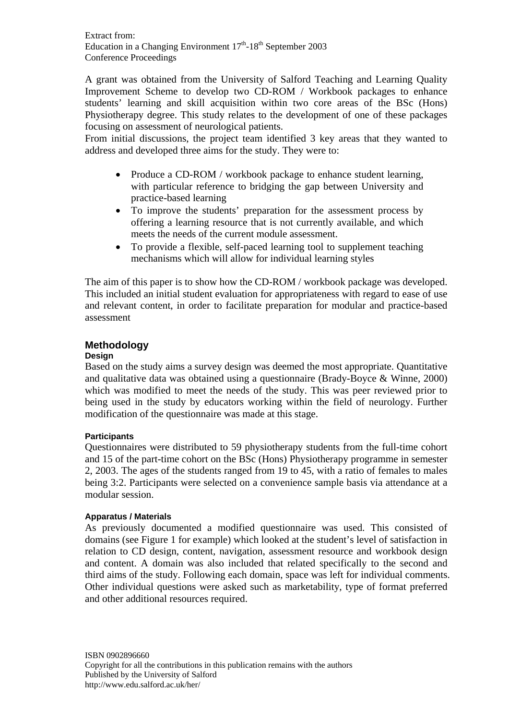A grant was obtained from the University of Salford Teaching and Learning Quality Improvement Scheme to develop two CD-ROM / Workbook packages to enhance students' learning and skill acquisition within two core areas of the BSc (Hons) Physiotherapy degree. This study relates to the development of one of these packages focusing on assessment of neurological patients.

From initial discussions, the project team identified 3 key areas that they wanted to address and developed three aims for the study. They were to:

- Produce a CD-ROM / workbook package to enhance student learning, with particular reference to bridging the gap between University and practice-based learning
- To improve the students' preparation for the assessment process by offering a learning resource that is not currently available, and which meets the needs of the current module assessment.
- To provide a flexible, self-paced learning tool to supplement teaching mechanisms which will allow for individual learning styles

The aim of this paper is to show how the CD-ROM / workbook package was developed. This included an initial student evaluation for appropriateness with regard to ease of use and relevant content, in order to facilitate preparation for modular and practice-based assessment

# **Methodology**

## **Design**

Based on the study aims a survey design was deemed the most appropriate. Quantitative and qualitative data was obtained using a questionnaire (Brady-Boyce & Winne, 2000) which was modified to meet the needs of the study. This was peer reviewed prior to being used in the study by educators working within the field of neurology. Further modification of the questionnaire was made at this stage.

# **Participants**

Questionnaires were distributed to 59 physiotherapy students from the full-time cohort and 15 of the part-time cohort on the BSc (Hons) Physiotherapy programme in semester 2, 2003. The ages of the students ranged from 19 to 45, with a ratio of females to males being 3:2. Participants were selected on a convenience sample basis via attendance at a modular session.

# **Apparatus / Materials**

As previously documented a modified questionnaire was used. This consisted of domains (see Figure 1 for example) which looked at the student's level of satisfaction in relation to CD design, content, navigation, assessment resource and workbook design and content. A domain was also included that related specifically to the second and third aims of the study. Following each domain, space was left for individual comments. Other individual questions were asked such as marketability, type of format preferred and other additional resources required.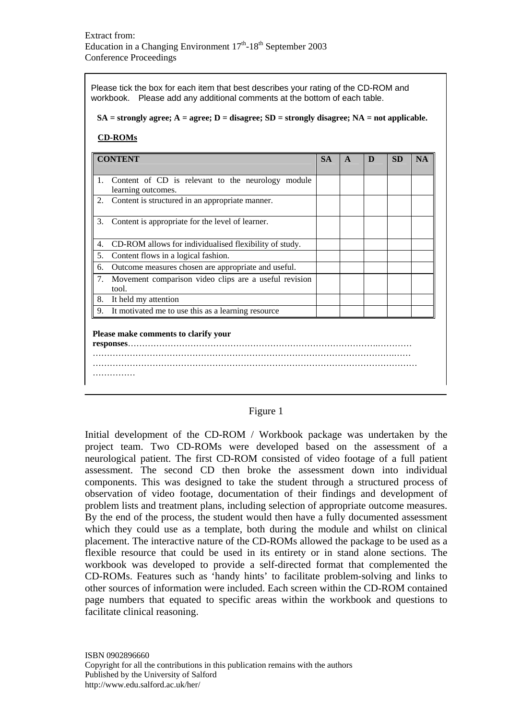Please tick the box for each item that best describes your rating of the CD-ROM and workbook. Please add any additional comments at the bottom of each table.

#### **SA = strongly agree; A = agree; D = disagree; SD = strongly disagree; NA = not applicable.**

#### **CD-ROMs**

| <b>CONTENT</b>                       |                                                                         | <b>SA</b> | A | D | <b>SD</b> | <b>NA</b> |  |
|--------------------------------------|-------------------------------------------------------------------------|-----------|---|---|-----------|-----------|--|
| 1.                                   | Content of CD is relevant to the neurology module<br>learning outcomes. |           |   |   |           |           |  |
| 2.                                   | Content is structured in an appropriate manner.                         |           |   |   |           |           |  |
| 3.                                   | Content is appropriate for the level of learner.                        |           |   |   |           |           |  |
| 4.                                   | CD-ROM allows for individualised flexibility of study.                  |           |   |   |           |           |  |
| 5.                                   | Content flows in a logical fashion.                                     |           |   |   |           |           |  |
| 6.                                   | Outcome measures chosen are appropriate and useful.                     |           |   |   |           |           |  |
| 7.                                   | Movement comparison video clips are a useful revision<br>tool.          |           |   |   |           |           |  |
| 8.                                   | It held my attention                                                    |           |   |   |           |           |  |
| 9.                                   | It motivated me to use this as a learning resource                      |           |   |   |           |           |  |
| Please make comments to clarify your |                                                                         |           |   |   |           |           |  |

#### Figure 1

Initial development of the CD-ROM / Workbook package was undertaken by the project team. Two CD-ROMs were developed based on the assessment of a neurological patient. The first CD-ROM consisted of video footage of a full patient assessment. The second CD then broke the assessment down into individual components. This was designed to take the student through a structured process of observation of video footage, documentation of their findings and development of problem lists and treatment plans, including selection of appropriate outcome measures. By the end of the process, the student would then have a fully documented assessment which they could use as a template, both during the module and whilst on clinical placement. The interactive nature of the CD-ROMs allowed the package to be used as a flexible resource that could be used in its entirety or in stand alone sections. The workbook was developed to provide a self-directed format that complemented the CD-ROMs. Features such as 'handy hints' to facilitate problem-solving and links to other sources of information were included. Each screen within the CD-ROM contained page numbers that equated to specific areas within the workbook and questions to facilitate clinical reasoning.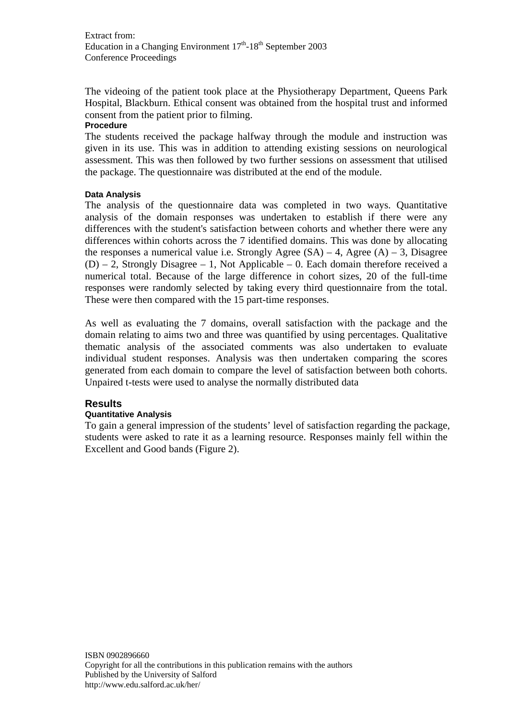The videoing of the patient took place at the Physiotherapy Department, Queens Park Hospital, Blackburn. Ethical consent was obtained from the hospital trust and informed consent from the patient prior to filming.

#### **Procedure**

The students received the package halfway through the module and instruction was given in its use. This was in addition to attending existing sessions on neurological assessment. This was then followed by two further sessions on assessment that utilised the package. The questionnaire was distributed at the end of the module.

# **Data Analysis**

The analysis of the questionnaire data was completed in two ways. Quantitative analysis of the domain responses was undertaken to establish if there were any differences with the student's satisfaction between cohorts and whether there were any differences within cohorts across the 7 identified domains. This was done by allocating the responses a numerical value i.e. Strongly Agree  $(SA) - 4$ , Agree  $(A) - 3$ , Disagree  $(D) - 2$ , Strongly Disagree – 1, Not Applicable – 0. Each domain therefore received a numerical total. Because of the large difference in cohort sizes, 20 of the full-time responses were randomly selected by taking every third questionnaire from the total. These were then compared with the 15 part-time responses.

As well as evaluating the 7 domains, overall satisfaction with the package and the domain relating to aims two and three was quantified by using percentages. Qualitative thematic analysis of the associated comments was also undertaken to evaluate individual student responses. Analysis was then undertaken comparing the scores generated from each domain to compare the level of satisfaction between both cohorts. Unpaired t-tests were used to analyse the normally distributed data

# **Results**

# **Quantitative Analysis**

To gain a general impression of the students' level of satisfaction regarding the package, students were asked to rate it as a learning resource. Responses mainly fell within the Excellent and Good bands (Figure 2).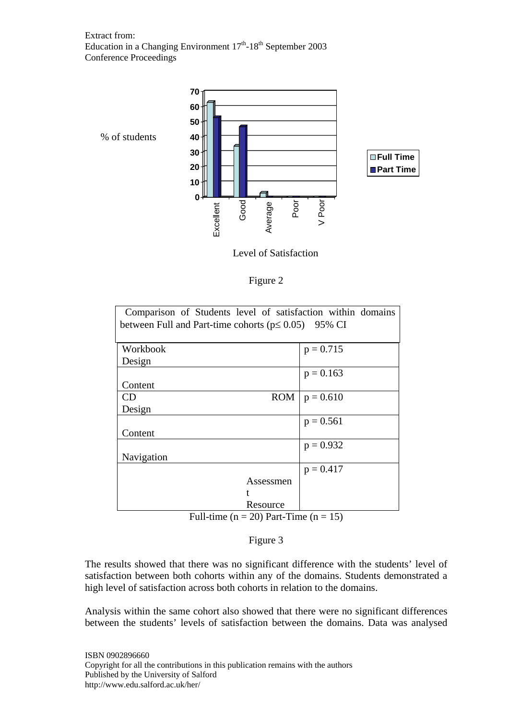

Level of Satisfaction

| L<br>υ<br>н<br>г |  |
|------------------|--|
|                  |  |

| between Full and Part-time cohorts ( $p \le 0.05$ ) 95% CI<br>Workbook<br>$p = 0.715$ |  |
|---------------------------------------------------------------------------------------|--|
|                                                                                       |  |
|                                                                                       |  |
|                                                                                       |  |
| Design                                                                                |  |
| $p = 0.163$                                                                           |  |
| Content                                                                               |  |
| <b>ROM</b><br>$p = 0.610$<br>CD                                                       |  |
| Design                                                                                |  |
| $p = 0.561$                                                                           |  |
| Content                                                                               |  |
| $p = 0.932$                                                                           |  |
| Navigation                                                                            |  |
| $p = 0.417$                                                                           |  |
| Assessmen                                                                             |  |
|                                                                                       |  |
| Resource                                                                              |  |

Full-time ( $n = 20$ ) Part-Time ( $n = 15$ )

Figure 3

The results showed that there was no significant difference with the students' level of satisfaction between both cohorts within any of the domains. Students demonstrated a high level of satisfaction across both cohorts in relation to the domains.

Analysis within the same cohort also showed that there were no significant differences between the students' levels of satisfaction between the domains. Data was analysed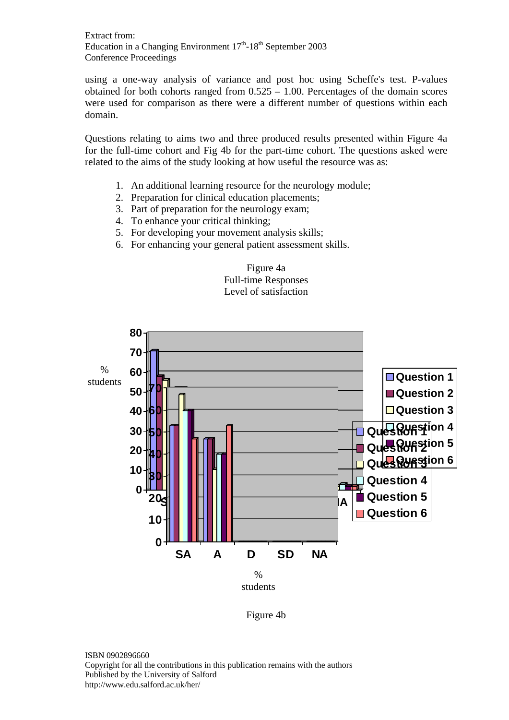using a one-way analysis of variance and post hoc using Scheffe's test. P-values obtained for both cohorts ranged from 0.525 – 1.00. Percentages of the domain scores were used for comparison as there were a different number of questions within each domain.

Questions relating to aims two and three produced results presented within Figure 4a for the full-time cohort and Fig 4b for the part-time cohort. The questions asked were related to the aims of the study looking at how useful the resource was as:

- 1. An additional learning resource for the neurology module;
- 2. Preparation for clinical education placements;
- 3. Part of preparation for the neurology exam;
- 4. To enhance your critical thinking;
- 5. For developing your movement analysis skills;
- 6. For enhancing your general patient assessment skills.





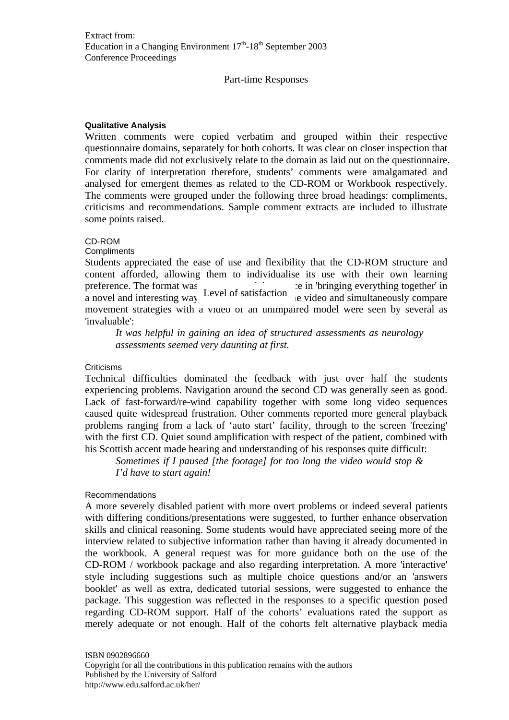#### Part-time Responses

#### **Qualitative Analysis**

Written comments were copied verbatim and grouped within their respective questionnaire domains, separately for both cohorts. It was clear on closer inspection that comments made did not exclusively relate to the domain as laid out on the questionnaire. For clarity of interpretation therefore, students' comments were amalgamated and analysed for emergent themes as related to the CD-ROM or Workbook respectively. The comments were grouped under the following three broad headings: compliments, criticisms and recommendations. Sample comment extracts are included to illustrate some points raised.

### CD-ROM

**Compliments** 

Students appreciated the ease of use and flexibility that the CD-ROM structure and content afforded, allowing them to individualise its use with their own learning preference. The format was  $\frac{1}{2}$  is  $\frac{1}{2}$  in 'bringing everything together' in a novel and interesting way. Level of satisfaction a video and simultaneously compare a novel and interesting way. movement strategies with a video of an unimpaired model were seen by several as 'invaluable':

*It was helpful in gaining an idea of structured assessments as neurology assessments seemed very daunting at first.* 

#### Criticisms

Technical difficulties dominated the feedback with just over half the students experiencing problems. Navigation around the second CD was generally seen as good. Lack of fast-forward/re-wind capability together with some long video sequences caused quite widespread frustration. Other comments reported more general playback problems ranging from a lack of 'auto start' facility, through to the screen 'freezing' with the first CD. Quiet sound amplification with respect of the patient, combined with his Scottish accent made hearing and understanding of his responses quite difficult:

*Sometimes if I paused [the footage] for too long the video would stop & I'd have to start again!* 

#### Recommendations

A more severely disabled patient with more overt problems or indeed several patients with differing conditions/presentations were suggested, to further enhance observation skills and clinical reasoning. Some students would have appreciated seeing more of the interview related to subjective information rather than having it already documented in the workbook. A general request was for more guidance both on the use of the CD-ROM / workbook package and also regarding interpretation. A more 'interactive' style including suggestions such as multiple choice questions and/or an 'answers booklet' as well as extra, dedicated tutorial sessions, were suggested to enhance the package. This suggestion was reflected in the responses to a specific question posed regarding CD-ROM support. Half of the cohorts' evaluations rated the support as merely adequate or not enough. Half of the cohorts felt alternative playback media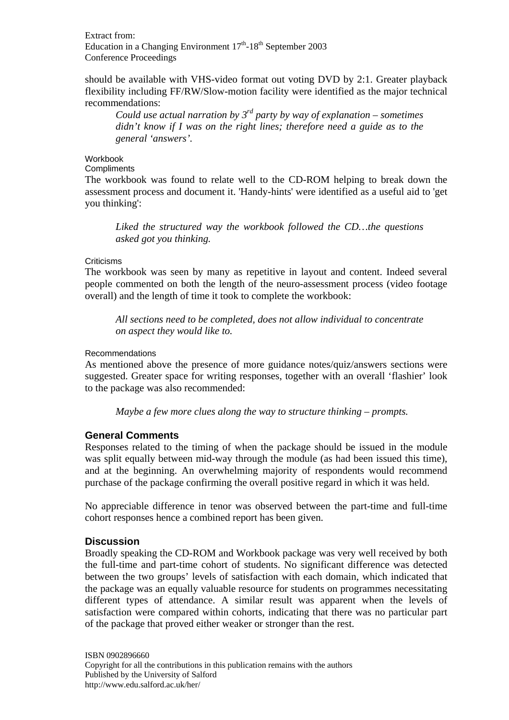should be available with VHS-video format out voting DVD by 2:1. Greater playback flexibility including FF/RW/Slow-motion facility were identified as the major technical recommendations:

*Could use actual narration by 3rd party by way of explanation – sometimes didn't know if I was on the right lines; therefore need a guide as to the general 'answers'.* 

#### Workbook

**Compliments** 

The workbook was found to relate well to the CD-ROM helping to break down the assessment process and document it. 'Handy-hints' were identified as a useful aid to 'get you thinking':

*Liked the structured way the workbook followed the CD…the questions asked got you thinking.* 

# **Criticisms**

The workbook was seen by many as repetitive in layout and content. Indeed several people commented on both the length of the neuro-assessment process (video footage overall) and the length of time it took to complete the workbook:

*All sections need to be completed, does not allow individual to concentrate on aspect they would like to.* 

# Recommendations

As mentioned above the presence of more guidance notes/quiz/answers sections were suggested. Greater space for writing responses, together with an overall 'flashier' look to the package was also recommended:

*Maybe a few more clues along the way to structure thinking – prompts.* 

# **General Comments**

Responses related to the timing of when the package should be issued in the module was split equally between mid-way through the module (as had been issued this time), and at the beginning. An overwhelming majority of respondents would recommend purchase of the package confirming the overall positive regard in which it was held.

No appreciable difference in tenor was observed between the part-time and full-time cohort responses hence a combined report has been given.

# **Discussion**

Broadly speaking the CD-ROM and Workbook package was very well received by both the full-time and part-time cohort of students. No significant difference was detected between the two groups' levels of satisfaction with each domain, which indicated that the package was an equally valuable resource for students on programmes necessitating different types of attendance. A similar result was apparent when the levels of satisfaction were compared within cohorts, indicating that there was no particular part of the package that proved either weaker or stronger than the rest.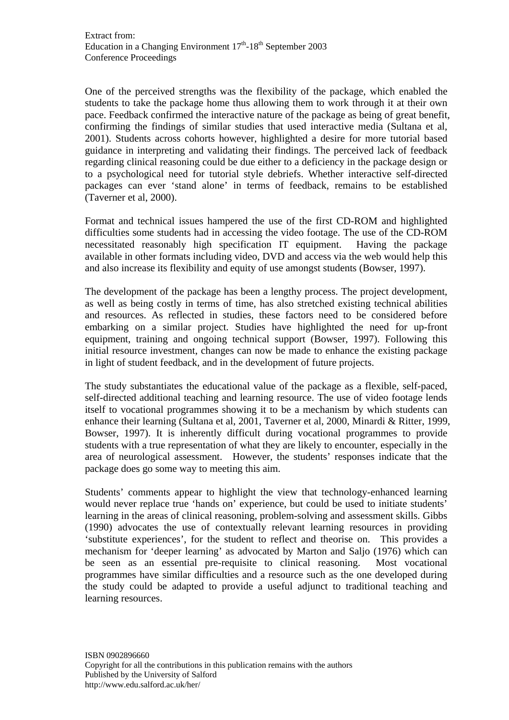One of the perceived strengths was the flexibility of the package, which enabled the students to take the package home thus allowing them to work through it at their own pace. Feedback confirmed the interactive nature of the package as being of great benefit, confirming the findings of similar studies that used interactive media (Sultana et al, 2001). Students across cohorts however, highlighted a desire for more tutorial based guidance in interpreting and validating their findings. The perceived lack of feedback regarding clinical reasoning could be due either to a deficiency in the package design or to a psychological need for tutorial style debriefs. Whether interactive self-directed packages can ever 'stand alone' in terms of feedback, remains to be established (Taverner et al, 2000).

Format and technical issues hampered the use of the first CD-ROM and highlighted difficulties some students had in accessing the video footage. The use of the CD-ROM necessitated reasonably high specification IT equipment. Having the package available in other formats including video, DVD and access via the web would help this and also increase its flexibility and equity of use amongst students (Bowser, 1997).

The development of the package has been a lengthy process. The project development, as well as being costly in terms of time, has also stretched existing technical abilities and resources. As reflected in studies, these factors need to be considered before embarking on a similar project. Studies have highlighted the need for up-front equipment, training and ongoing technical support (Bowser, 1997). Following this initial resource investment, changes can now be made to enhance the existing package in light of student feedback, and in the development of future projects.

The study substantiates the educational value of the package as a flexible, self-paced, self-directed additional teaching and learning resource. The use of video footage lends itself to vocational programmes showing it to be a mechanism by which students can enhance their learning (Sultana et al, 2001, Taverner et al, 2000, Minardi & Ritter, 1999, Bowser, 1997). It is inherently difficult during vocational programmes to provide students with a true representation of what they are likely to encounter, especially in the area of neurological assessment. However, the students' responses indicate that the package does go some way to meeting this aim.

Students' comments appear to highlight the view that technology-enhanced learning would never replace true 'hands on' experience, but could be used to initiate students' learning in the areas of clinical reasoning, problem-solving and assessment skills. Gibbs (1990) advocates the use of contextually relevant learning resources in providing 'substitute experiences', for the student to reflect and theorise on. This provides a mechanism for 'deeper learning' as advocated by Marton and Saljo (1976) which can be seen as an essential pre-requisite to clinical reasoning. Most vocational programmes have similar difficulties and a resource such as the one developed during the study could be adapted to provide a useful adjunct to traditional teaching and learning resources.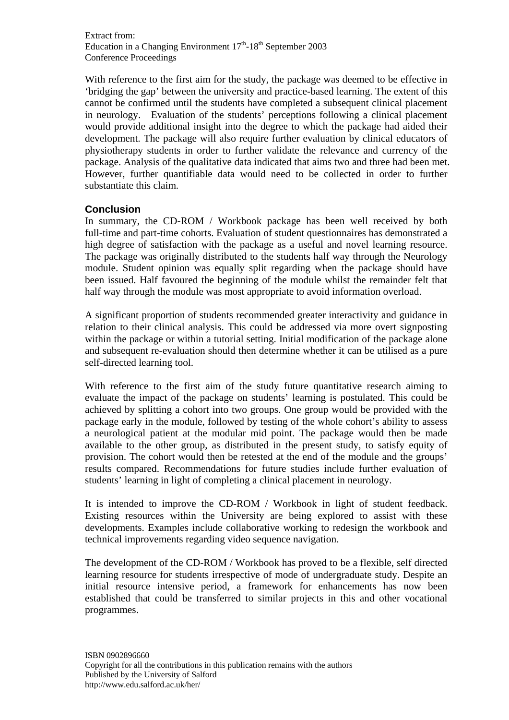With reference to the first aim for the study, the package was deemed to be effective in 'bridging the gap' between the university and practice-based learning. The extent of this cannot be confirmed until the students have completed a subsequent clinical placement in neurology. Evaluation of the students' perceptions following a clinical placement would provide additional insight into the degree to which the package had aided their development. The package will also require further evaluation by clinical educators of physiotherapy students in order to further validate the relevance and currency of the package. Analysis of the qualitative data indicated that aims two and three had been met. However, further quantifiable data would need to be collected in order to further substantiate this claim.

# **Conclusion**

In summary, the CD-ROM / Workbook package has been well received by both full-time and part-time cohorts. Evaluation of student questionnaires has demonstrated a high degree of satisfaction with the package as a useful and novel learning resource. The package was originally distributed to the students half way through the Neurology module. Student opinion was equally split regarding when the package should have been issued. Half favoured the beginning of the module whilst the remainder felt that half way through the module was most appropriate to avoid information overload.

A significant proportion of students recommended greater interactivity and guidance in relation to their clinical analysis. This could be addressed via more overt signposting within the package or within a tutorial setting. Initial modification of the package alone and subsequent re-evaluation should then determine whether it can be utilised as a pure self-directed learning tool.

With reference to the first aim of the study future quantitative research aiming to evaluate the impact of the package on students' learning is postulated. This could be achieved by splitting a cohort into two groups. One group would be provided with the package early in the module, followed by testing of the whole cohort's ability to assess a neurological patient at the modular mid point. The package would then be made available to the other group, as distributed in the present study, to satisfy equity of provision. The cohort would then be retested at the end of the module and the groups' results compared. Recommendations for future studies include further evaluation of students' learning in light of completing a clinical placement in neurology.

It is intended to improve the CD-ROM / Workbook in light of student feedback. Existing resources within the University are being explored to assist with these developments. Examples include collaborative working to redesign the workbook and technical improvements regarding video sequence navigation.

The development of the CD-ROM / Workbook has proved to be a flexible, self directed learning resource for students irrespective of mode of undergraduate study. Despite an initial resource intensive period, a framework for enhancements has now been established that could be transferred to similar projects in this and other vocational programmes.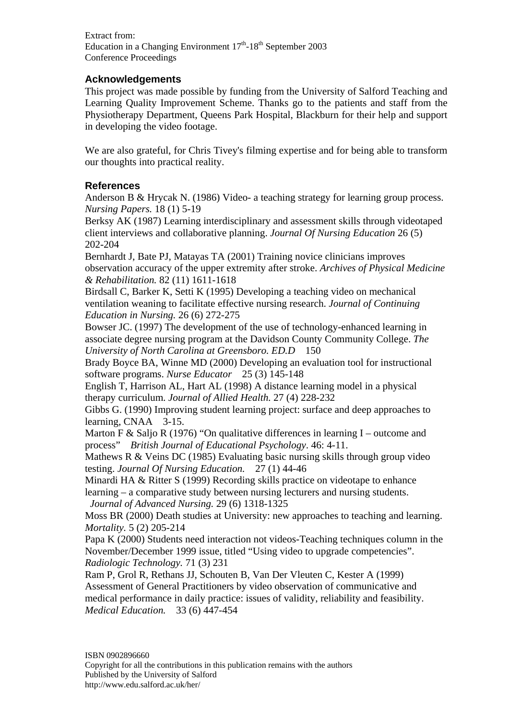# **Acknowledgements**

This project was made possible by funding from the University of Salford Teaching and Learning Quality Improvement Scheme. Thanks go to the patients and staff from the Physiotherapy Department, Queens Park Hospital, Blackburn for their help and support in developing the video footage.

We are also grateful, for Chris Tivey's filming expertise and for being able to transform our thoughts into practical reality.

# **References**

Anderson B & Hrycak N. (1986) Video- a teaching strategy for learning group process. *Nursing Papers.* 18 (1) 5-19

Berksy AK (1987) Learning interdisciplinary and assessment skills through videotaped client interviews and collaborative planning. *Journal Of Nursing Education* 26 (5) 202-204

Bernhardt J, Bate PJ, Matayas TA (2001) Training novice clinicians improves observation accuracy of the upper extremity after stroke. *Archives of Physical Medicine & Rehabilitation.* 82 (11) 1611-1618

Birdsall C, Barker K, Setti K (1995) Developing a teaching video on mechanical ventilation weaning to facilitate effective nursing research. *Journal of Continuing Education in Nursing.* 26 (6) 272-275

Bowser JC. (1997) The development of the use of technology-enhanced learning in associate degree nursing program at the Davidson County Community College. *The University of North Carolina at Greensboro. ED.D* 150

Brady Boyce BA, Winne MD (2000) Developing an evaluation tool for instructional software programs. *Nurse Educator* 25 (3) 145-148

English T, Harrison AL, Hart AL (1998) A distance learning model in a physical therapy curriculum. *Journal of Allied Health.* 27 (4) 228-232

Gibbs G. (1990) Improving student learning project: surface and deep approaches to learning, CNAA 3-15.

Marton F & Saljo R (1976) "On qualitative differences in learning I – outcome and process" *British Journal of Educational Psychology*. 46: 4-11.

Mathews R & Veins DC (1985) Evaluating basic nursing skills through group video testing. *Journal Of Nursing Education.* 27 (1) 44-46

Minardi HA & Ritter S (1999) Recording skills practice on videotape to enhance learning – a comparative study between nursing lecturers and nursing students. *Journal of Advanced Nursing.* 29 (6) 1318-1325

Moss BR (2000) Death studies at University: new approaches to teaching and learning. *Mortality.* 5 (2) 205-214

Papa K (2000) Students need interaction not videos-Teaching techniques column in the November/December 1999 issue, titled "Using video to upgrade competencies". *Radiologic Technology.* 71 (3) 231

Ram P, Grol R, Rethans JJ, Schouten B, Van Der Vleuten C, Kester A (1999) Assessment of General Practitioners by video observation of communicative and medical performance in daily practice: issues of validity, reliability and feasibility. *Medical Education.* 33 (6) 447-454